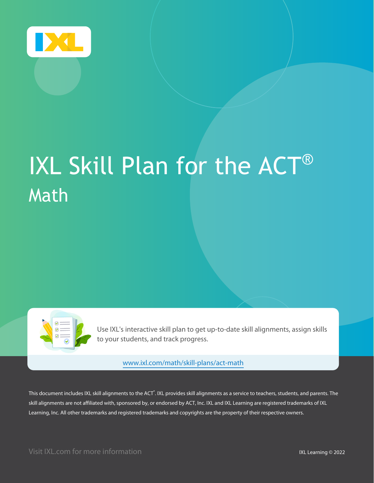

# IXL Skill Plan for the ACT® Math

| $\frac{1}{10}$<br>$\overline{\text{C}}$ :<br>$\circledcirc$ |  |
|-------------------------------------------------------------|--|
|                                                             |  |

Use IXL's interactive skill plan to get up-to-date skill alignments, assign skills to your students, and track progress.

[www.ixl.com/math/skill-plans/act-math](https://www.ixl.com/math/skill-plans/act-math)

This document includes IXL skill alignments to the ACT®. IXL provides skill alignments as a service to teachers, students, and parents. The skill alignments are not affiliated with, sponsored by, or endorsed by ACT, Inc. IXL and IXL Learning are registered trademarks of IXL Learning, Inc. All other trademarks and registered trademarks and copyrights are the property of their respective owners.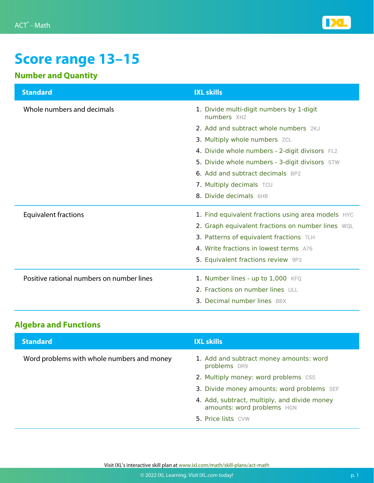

# **Score range 13–15**

#### **Number and Quantity**

| <b>Standard</b>                           | <b>IXL skills</b>                                       |
|-------------------------------------------|---------------------------------------------------------|
| Whole numbers and decimals                | 1. Divide multi-digit numbers by 1-digit<br>numbers XHZ |
|                                           | 2. Add and subtract whole numbers 2KJ                   |
|                                           | 3. Multiply whole numbers ZCL                           |
|                                           | 4. Divide whole numbers - 2-digit divisors FL2          |
|                                           | 5. Divide whole numbers - 3-digit divisors STW          |
|                                           | <b>6. Add and subtract decimals BP2</b>                 |
|                                           | 7. Multiply decimals TCU                                |
|                                           | 8. Divide decimals 6HB                                  |
| <b>Equivalent fractions</b>               | 1. Find equivalent fractions using area models HYC      |
|                                           | 2. Graph equivalent fractions on number lines WQL       |
|                                           | 3. Patterns of equivalent fractions 7LH                 |
|                                           | 4. Write fractions in lowest terms A76                  |
|                                           | 5. Equivalent fractions review 9P3                      |
| Positive rational numbers on number lines | 1. Number lines - up to 1,000 KFQ                       |
|                                           | 2. Fractions on number lines ULL                        |
|                                           | <b>3. Decimal number lines BBX</b>                      |

#### **Algebra and Functions**

| <b>Standard</b>                            | <b>IXL skills</b>                                                          |
|--------------------------------------------|----------------------------------------------------------------------------|
| Word problems with whole numbers and money | 1. Add and subtract money amounts: word<br>problems DR9                    |
|                                            | 2. Multiply money: word problems C5S                                       |
|                                            | 3. Divide money amounts: word problems SEF                                 |
|                                            | 4. Add, subtract, multiply, and divide money<br>amounts: word problems HGN |
|                                            | 5. Price lists CVW                                                         |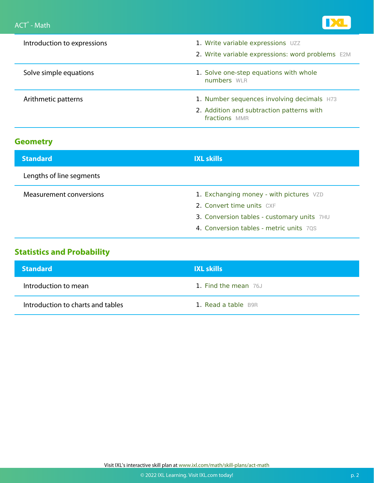

| Introduction to expressions | 1. Write variable expressions UZZ<br>2. Write variable expressions: word problems E2M                    |
|-----------------------------|----------------------------------------------------------------------------------------------------------|
| Solve simple equations      | 1. Solve one-step equations with whole<br>numbers WLR                                                    |
| Arithmetic patterns         | 1. Number sequences involving decimals H73<br>2. Addition and subtraction patterns with<br>fractions MMR |

| <b>Standard</b>          | <b>IXL skills</b>                          |
|--------------------------|--------------------------------------------|
| Lengths of line segments |                                            |
| Measurement conversions  | 1. Exchanging money - with pictures VZD    |
|                          | 2. Convert time units CXF                  |
|                          | 3. Conversion tables - customary units 7HU |
|                          | 4. Conversion tables - metric units 70S    |

### **Statistics and Probability**

| <b>Standard</b>                   | <b>IXL skills</b>    |
|-----------------------------------|----------------------|
| Introduction to mean              | 1. Find the mean 76J |
| Introduction to charts and tables | 1. Read a table B9R  |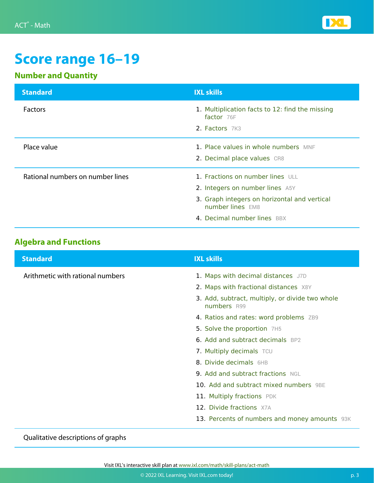

# **Score range 16–19**

### **Number and Quantity**

| <b>Standard</b>                  | <b>IXL skills</b>                                                                                                                                                      |
|----------------------------------|------------------------------------------------------------------------------------------------------------------------------------------------------------------------|
| <b>Factors</b>                   | 1. Multiplication facts to 12: find the missing<br>factor $76F$<br>2. Factors 7K3                                                                                      |
| Place value                      | 1. Place values in whole numbers MNF<br>2. Decimal place values CR8                                                                                                    |
| Rational numbers on number lines | 1. Fractions on number lines ULL<br>2. Integers on number lines A5Y<br>3. Graph integers on horizontal and vertical<br>number lines EM8<br>4. Decimal number lines BBX |

#### **Algebra and Functions**

| <b>Standard</b>                  | <b>IXL skills</b>                                              |
|----------------------------------|----------------------------------------------------------------|
| Arithmetic with rational numbers | 1. Maps with decimal distances J7D                             |
|                                  | 2. Maps with fractional distances X8Y                          |
|                                  | 3. Add, subtract, multiply, or divide two whole<br>numbers R99 |
|                                  | 4. Ratios and rates: word problems ZB9                         |
|                                  | 5. Solve the proportion 7H5                                    |
|                                  | <b>6. Add and subtract decimals BP2</b>                        |
|                                  | 7. Multiply decimals TCU                                       |
|                                  | 8. Divide decimals 6HB                                         |
|                                  | <b>9. Add and subtract fractions NGL</b>                       |
|                                  | 10. Add and subtract mixed numbers 9BE                         |
|                                  | 11. Multiply fractions PDK                                     |
|                                  | 12. Divide fractions X7A                                       |
|                                  | 13. Percents of numbers and money amounts 93K                  |

Qualitative descriptions of graphs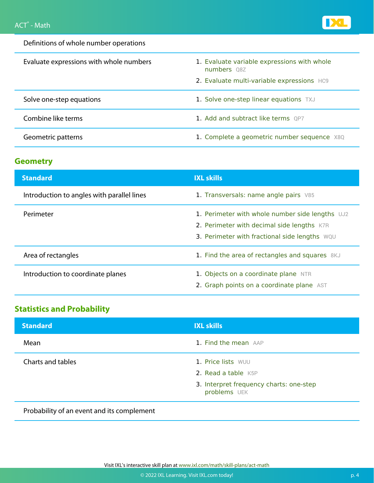

Definitions of whole number operations

| Evaluate expressions with whole numbers | 1. Evaluate variable expressions with whole<br>numbers Q8Z |
|-----------------------------------------|------------------------------------------------------------|
|                                         | 2. Evaluate multi-variable expressions HC9                 |
| Solve one-step equations                | 1. Solve one-step linear equations TXJ                     |
| Combine like terms                      | 1. Add and subtract like terms QP7                         |
| Geometric patterns                      | 1. Complete a geometric number sequence X8Q                |

#### **Geometry**

| <b>Standard</b>                            | <b>IXL skills</b>                                                                                                                              |
|--------------------------------------------|------------------------------------------------------------------------------------------------------------------------------------------------|
| Introduction to angles with parallel lines | 1. Transversals: name angle pairs V85                                                                                                          |
| Perimeter                                  | 1. Perimeter with whole number side lengths UJ2<br>2. Perimeter with decimal side lengths K7R<br>3. Perimeter with fractional side lengths WQU |
| Area of rectangles                         | 1. Find the area of rectangles and squares 8KJ                                                                                                 |
| Introduction to coordinate planes          | 1. Objects on a coordinate plane NTR<br>2. Graph points on a coordinate plane AST                                                              |

#### **Statistics and Probability**

| <b>Standard</b>   | <b>IXL skills</b>                                                                                    |
|-------------------|------------------------------------------------------------------------------------------------------|
| Mean              | 1. Find the mean AAP                                                                                 |
| Charts and tables | 1. Price lists WUU<br>2. Read a table K5P<br>3. Interpret frequency charts: one-step<br>problems UEK |

Probability of an event and its complement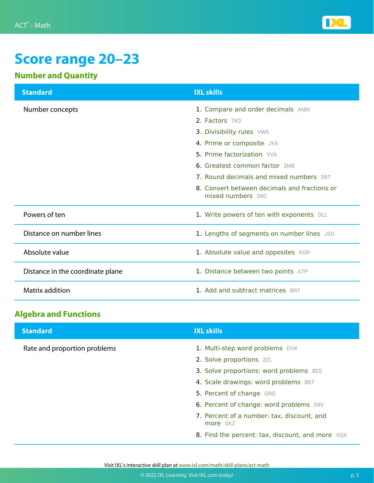

# **Score range 20–23**

#### **Number and Quantity**

| <b>Standard</b>                  | <b>IXL skills</b>                                                 |
|----------------------------------|-------------------------------------------------------------------|
| Number concepts                  | 1. Compare and order decimals ANM                                 |
|                                  | 2. Factors 7K3                                                    |
|                                  | 3. Divisibility rules VW5                                         |
|                                  | 4. Prime or composite JYA                                         |
|                                  | 5. Prime factorization YVA                                        |
|                                  | 6. Greatest common factor 3M8                                     |
|                                  | 7. Round decimals and mixed numbers 5RT                           |
|                                  | 8. Convert between decimals and fractions or<br>mixed numbers 2RC |
| Powers of ten                    | 1. Write powers of ten with exponents DLL                         |
| Distance on number lines         | 1. Lengths of segments on number lines JSD                        |
| Absolute value                   | 1. Absolute value and opposites KGR                               |
| Distance in the coordinate plane | 1. Distance between two points A7P                                |
| Matrix addition                  | 1. Add and subtract matrices BR7                                  |

### **Algebra and Functions**

| <b>Standard</b>              | <b>IXL skills</b>                                      |
|------------------------------|--------------------------------------------------------|
| Rate and proportion problems | 1. Multi-step word problems EHX                        |
|                              | 2. Solve proportions 2ZL                               |
|                              | 3. Solve proportions: word problems 8ES                |
|                              | 4. Scale drawings: word problems 8B7                   |
|                              | 5. Percent of change GRG                               |
|                              | 6. Percent of change: word problems 59V                |
|                              | 7. Percent of a number: tax, discount, and<br>more SKZ |
|                              | 8. Find the percent: tax, discount, and more VQX       |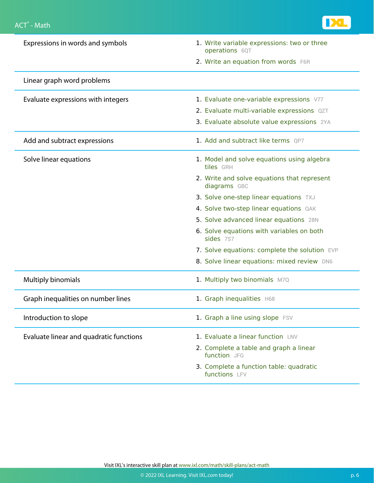

| Expressions in words and symbols        | 1. Write variable expressions: two or three<br>operations 6QT |
|-----------------------------------------|---------------------------------------------------------------|
|                                         | 2. Write an equation from words F6R                           |
| Linear graph word problems              |                                                               |
| Evaluate expressions with integers      | 1. Evaluate one-variable expressions V77                      |
|                                         | 2. Evaluate multi-variable expressions QZT                    |
|                                         | 3. Evaluate absolute value expressions 2YA                    |
| Add and subtract expressions            | 1. Add and subtract like terms QP7                            |
| Solve linear equations                  | 1. Model and solve equations using algebra<br>tiles GRH       |
|                                         | 2. Write and solve equations that represent<br>diagrams GBC   |
|                                         | 3. Solve one-step linear equations TXJ                        |
|                                         | 4. Solve two-step linear equations QAK                        |
|                                         | 5. Solve advanced linear equations 28N                        |
|                                         | 6. Solve equations with variables on both<br>sides 7S7        |
|                                         | 7. Solve equations: complete the solution EVP                 |
|                                         | 8. Solve linear equations: mixed review DN6                   |
| <b>Multiply binomials</b>               | 1. Multiply two binomials M7Q                                 |
| Graph inequalities on number lines      | 1. Graph inequalities H68                                     |
| Introduction to slope                   | 1. Graph a line using slope FSV                               |
| Evaluate linear and quadratic functions | 1. Evaluate a linear function LNV                             |
|                                         | 2. Complete a table and graph a linear<br>function JFG        |
|                                         | 3. Complete a function table: quadratic<br>functions LFV      |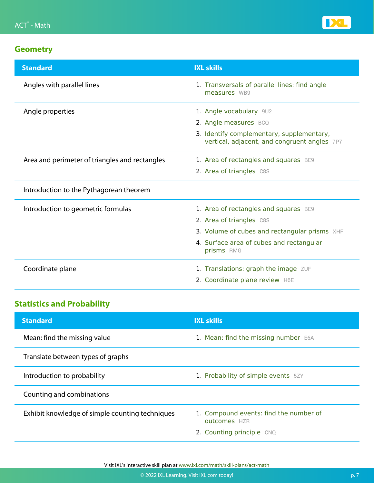

| <b>Standard</b>                                | <b>IXL skills</b>                                                                         |
|------------------------------------------------|-------------------------------------------------------------------------------------------|
| Angles with parallel lines                     | 1. Transversals of parallel lines: find angle<br>measures WB9                             |
| Angle properties                               | 1. Angle vocabulary 9U2                                                                   |
|                                                | 2. Angle measures BCQ                                                                     |
|                                                | 3. Identify complementary, supplementary,<br>vertical, adjacent, and congruent angles 7P7 |
| Area and perimeter of triangles and rectangles | 1. Area of rectangles and squares BE9                                                     |
|                                                | 2. Area of triangles C8S                                                                  |
| Introduction to the Pythagorean theorem        |                                                                                           |
| Introduction to geometric formulas             | 1. Area of rectangles and squares BE9                                                     |
|                                                | 2. Area of triangles C8S                                                                  |
|                                                | 3. Volume of cubes and rectangular prisms XHF                                             |
|                                                | 4. Surface area of cubes and rectangular<br>prisms RMG                                    |
| Coordinate plane                               | 1. Translations: graph the image ZUF                                                      |
|                                                | 2. Coordinate plane review H6E                                                            |

### **Statistics and Probability**

| <b>Standard</b>                                 | <b>IXL skills</b>                                      |
|-------------------------------------------------|--------------------------------------------------------|
| Mean: find the missing value                    | 1. Mean: find the missing number E6A                   |
| Translate between types of graphs               |                                                        |
| Introduction to probability                     | 1. Probability of simple events 5ZY                    |
| Counting and combinations                       |                                                        |
| Exhibit knowledge of simple counting techniques | 1. Compound events: find the number of<br>outcomes HZR |
|                                                 | 2. Counting principle CNQ                              |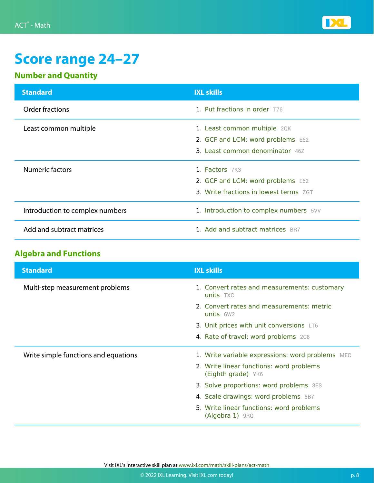

# **Score range 24–27**

#### **Number and Quantity**

| <b>Standard</b>                 | <b>IXL skills</b>                             |
|---------------------------------|-----------------------------------------------|
| Order fractions                 | 1. Put fractions in order T76                 |
| Least common multiple           | 1. Least common multiple 2QK                  |
|                                 | 2. GCF and LCM: word problems E62             |
|                                 | <b>3. Least common denominator</b> 46Z        |
| <b>Numeric factors</b>          | 1. Factors 7K3                                |
|                                 | 2. GCF and LCM: word problems E62             |
|                                 | <b>3. Write fractions in lowest terms</b> ZGT |
| Introduction to complex numbers | 1. Introduction to complex numbers 5VV        |
| Add and subtract matrices       | 1. Add and subtract matrices BR7              |

#### **Algebra and Functions**

| <b>Standard</b>                      | <b>IXL skills</b>                                              |
|--------------------------------------|----------------------------------------------------------------|
| Multi-step measurement problems      | 1. Convert rates and measurements: customary<br>units TXC      |
|                                      | 2. Convert rates and measurements: metric<br>units $6W2$       |
|                                      | 3. Unit prices with unit conversions LT6                       |
|                                      | 4. Rate of travel: word problems 208                           |
| Write simple functions and equations | 1. Write variable expressions: word problems MEC               |
|                                      | 2. Write linear functions: word problems<br>(Eighth grade) YK6 |
|                                      | 3. Solve proportions: word problems 8ES                        |
|                                      | 4. Scale drawings: word problems 8B7                           |
|                                      | 5. Write linear functions: word problems<br>$(Algebra 1)$ 9RQ  |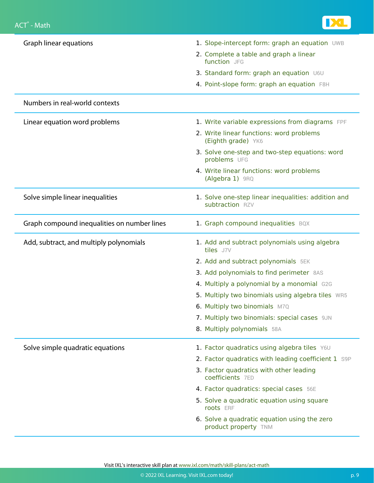

| Graph linear equations                      | 1. Slope-intercept form: graph an equation UWB                         |
|---------------------------------------------|------------------------------------------------------------------------|
|                                             | 2. Complete a table and graph a linear<br>function JFG                 |
|                                             | 3. Standard form: graph an equation U6U                                |
|                                             | 4. Point-slope form: graph an equation F8H                             |
| Numbers in real-world contexts              |                                                                        |
| Linear equation word problems               | 1. Write variable expressions from diagrams FPF                        |
|                                             | 2. Write linear functions: word problems<br>(Eighth grade) YK6         |
|                                             | 3. Solve one-step and two-step equations: word<br>problems UFG         |
|                                             | 4. Write linear functions: word problems<br>(Algebra 1) 9RQ            |
| Solve simple linear inequalities            | 1. Solve one-step linear inequalities: addition and<br>subtraction RZV |
| Graph compound inequalities on number lines | 1. Graph compound inequalities BQX                                     |
| Add, subtract, and multiply polynomials     | 1. Add and subtract polynomials using algebra<br>tiles J7V             |
|                                             | 2. Add and subtract polynomials 5EK                                    |
|                                             | 3. Add polynomials to find perimeter 8AS                               |
|                                             | 4. Multiply a polynomial by a monomial G2G                             |
|                                             | 5. Multiply two binomials using algebra tiles WR5                      |
|                                             | 6. Multiply two binomials M7Q                                          |
|                                             | 7. Multiply two binomials: special cases 9JN                           |
|                                             | 8. Multiply polynomials 58A                                            |
| Solve simple quadratic equations            | 1. Factor quadratics using algebra tiles Y6U                           |
|                                             | 2. Factor quadratics with leading coefficient 1 S9P                    |
|                                             | 3. Factor quadratics with other leading<br>coefficients 7ED            |
|                                             | 4. Factor quadratics: special cases 56E                                |
|                                             | 5. Solve a quadratic equation using square<br>roots ERF                |
|                                             | 6. Solve a quadratic equation using the zero<br>product property TNM   |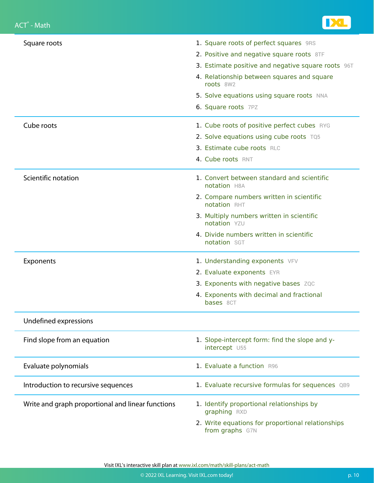

| Square roots                                      | 1. Square roots of perfect squares 9RS                               |
|---------------------------------------------------|----------------------------------------------------------------------|
|                                                   | 2. Positive and negative square roots 8TF                            |
|                                                   | 3. Estimate positive and negative square roots 96T                   |
|                                                   | 4. Relationship between squares and square<br>roots 8W2              |
|                                                   | 5. Solve equations using square roots NNA                            |
|                                                   | 6. Square roots 7PZ                                                  |
| Cube roots                                        | 1. Cube roots of positive perfect cubes RYG                          |
|                                                   | 2. Solve equations using cube roots TQ5                              |
|                                                   | 3. Estimate cube roots RLC                                           |
|                                                   | 4. Cube roots RNT                                                    |
| Scientific notation                               | 1. Convert between standard and scientific<br><b>notation H8A</b>    |
|                                                   | 2. Compare numbers written in scientific<br>notation RHT             |
|                                                   | 3. Multiply numbers written in scientific<br>notation YZU            |
|                                                   | 4. Divide numbers written in scientific<br>notation SGT              |
| Exponents                                         | 1. Understanding exponents VFV                                       |
|                                                   | 2. Evaluate exponents EYR                                            |
|                                                   | 3. Exponents with negative bases ZQC                                 |
|                                                   | 4. Exponents with decimal and fractional<br>bases 8CT                |
| Undefined expressions                             |                                                                      |
| Find slope from an equation                       | 1. Slope-intercept form: find the slope and y-<br>intercept U55      |
| Evaluate polynomials                              | 1. Evaluate a function R96                                           |
| Introduction to recursive sequences               | 1. Evaluate recursive formulas for sequences QB9                     |
| Write and graph proportional and linear functions | 1. Identify proportional relationships by<br>graphing RXD            |
|                                                   | 2. Write equations for proportional relationships<br>from graphs G7N |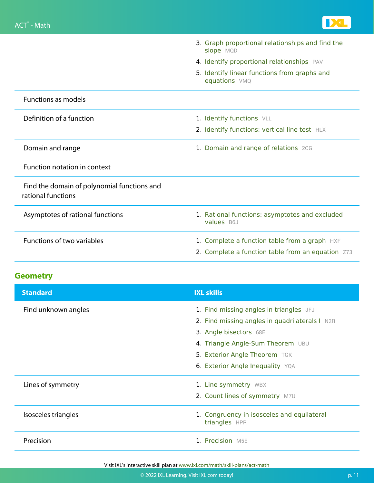

|                                                                   | 3. Graph proportional relationships and find the<br>slope MQD |
|-------------------------------------------------------------------|---------------------------------------------------------------|
|                                                                   | 4. Identify proportional relationships PAV                    |
|                                                                   | 5. Identify linear functions from graphs and<br>equations VMQ |
| <b>Functions as models</b>                                        |                                                               |
| Definition of a function                                          | 1. Identify functions VLL                                     |
|                                                                   | 2. Identify functions: vertical line test HLX                 |
| Domain and range                                                  | 1. Domain and range of relations 2CG                          |
| Function notation in context                                      |                                                               |
| Find the domain of polynomial functions and<br>rational functions |                                                               |
| Asymptotes of rational functions                                  | 1. Rational functions: asymptotes and excluded<br>values B6J  |
| <b>Functions of two variables</b>                                 | 1. Complete a function table from a graph HXF                 |
|                                                                   | 2. Complete a function table from an equation Z73             |

| <b>Standard</b>     | <b>IXL skills</b>                                           |
|---------------------|-------------------------------------------------------------|
| Find unknown angles | 1. Find missing angles in triangles JFJ                     |
|                     | 2. Find missing angles in quadrilaterals I N2R              |
|                     | 3. Angle bisectors 68E                                      |
|                     | 4. Triangle Angle-Sum Theorem UBU                           |
|                     | 5. Exterior Angle Theorem TGK                               |
|                     | 6. Exterior Angle Inequality YQA                            |
| Lines of symmetry   | 1. Line symmetry WBX                                        |
|                     | 2. Count lines of symmetry M7U                              |
| Isosceles triangles | 1. Congruency in isosceles and equilateral<br>triangles HPR |
| Precision           | 1. Precision M5E                                            |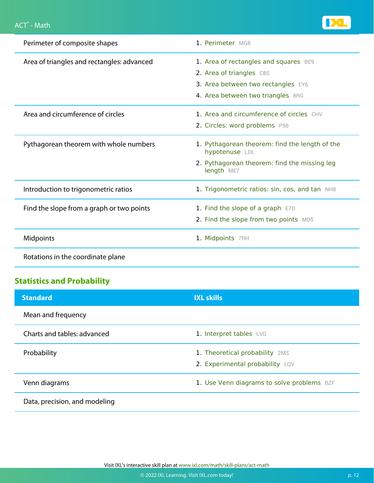

| Perimeter of composite shapes              | 1. Perimeter MG8                                                 |
|--------------------------------------------|------------------------------------------------------------------|
| Area of triangles and rectangles: advanced | 1. Area of rectangles and squares BE9                            |
|                                            | 2. Area of triangles C8S                                         |
|                                            | 3. Area between two rectangles EY6                               |
|                                            | 4. Area between two triangles 8RG                                |
| Area and circumference of circles          | 1. Area and circumference of circles CHV                         |
|                                            | 2. Circles: word problems P56                                    |
| Pythagorean theorem with whole numbers     | 1. Pythagorean theorem: find the length of the<br>hypotenuse LDL |
|                                            | 2. Pythagorean theorem: find the missing leg<br>length ME7       |
| Introduction to trigonometric ratios       | 1. Trigonometric ratios: sin, cos, and tan NH8                   |
| Find the slope from a graph or two points  | 1. Find the slope of a graph E7D                                 |
|                                            | 2. Find the slope from two points MD5                            |
| Midpoints                                  | 1. Midpoints 7RH                                                 |
| Rotations in the coordinate plane          |                                                                  |

### **Statistics and Probability**

| <b>Standard</b>               | <b>IXL skills</b>                                                 |
|-------------------------------|-------------------------------------------------------------------|
| Mean and frequency            |                                                                   |
| Charts and tables: advanced   | 1. Interpret tables LVG                                           |
| Probability                   | 1. Theoretical probability 2MS<br>2. Experimental probability LQV |
| Venn diagrams                 | 1. Use Venn diagrams to solve problems BZF                        |
| Data, precision, and modeling |                                                                   |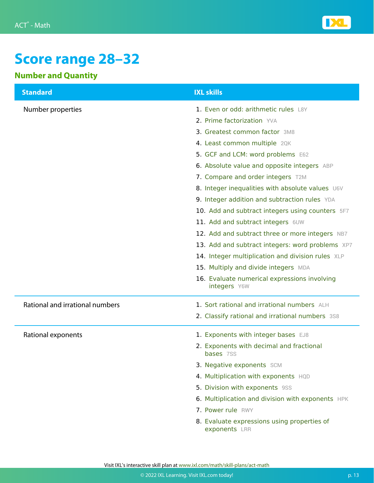

# **Score range 28–32**

### **Number and Quantity**

| <b>Standard</b>                 | <b>IXL skills</b>                                            |
|---------------------------------|--------------------------------------------------------------|
| Number properties               | 1. Even or odd: arithmetic rules L8Y                         |
|                                 | 2. Prime factorization YVA                                   |
|                                 | 3. Greatest common factor 3M8                                |
|                                 | 4. Least common multiple 2QK                                 |
|                                 | 5. GCF and LCM: word problems E62                            |
|                                 | 6. Absolute value and opposite integers ABP                  |
|                                 | 7. Compare and order integers T2M                            |
|                                 | 8. Integer inequalities with absolute values U6V             |
|                                 | 9. Integer addition and subtraction rules YDA                |
|                                 | 10. Add and subtract integers using counters 5F7             |
|                                 | 11. Add and subtract integers 6UW                            |
|                                 | 12. Add and subtract three or more integers NB7              |
|                                 | 13. Add and subtract integers: word problems XP7             |
|                                 | 14. Integer multiplication and division rules XLP            |
|                                 | 15. Multiply and divide integers MDA                         |
|                                 | 16. Evaluate numerical expressions involving<br>integers Y6W |
| Rational and irrational numbers | 1. Sort rational and irrational numbers ALH                  |
|                                 | 2. Classify rational and irrational numbers 3S8              |
| Rational exponents              | 1. Exponents with integer bases EJ8                          |
|                                 | 2. Exponents with decimal and fractional<br><b>bases</b> 7SS |
|                                 | 3. Negative exponents SCM                                    |
|                                 | 4. Multiplication with exponents HQD                         |
|                                 | 5. Division with exponents 9SS                               |
|                                 | 6. Multiplication and division with exponents HPK            |
|                                 | 7. Power rule RWY                                            |
|                                 | 8. Evaluate expressions using properties of<br>exponents LRR |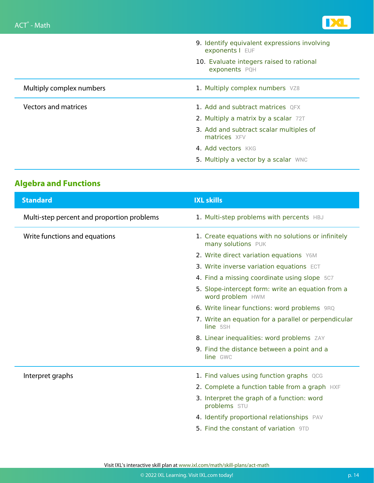

|                             | 9. Identify equivalent expressions involving<br>exponents   EUF |
|-----------------------------|-----------------------------------------------------------------|
|                             | 10. Evaluate integers raised to rational<br>exponents PQH       |
| Multiply complex numbers    | 1. Multiply complex numbers VZ8                                 |
| <b>Vectors and matrices</b> | 1. Add and subtract matrices QFX                                |
|                             | 2. Multiply a matrix by a scalar 72T                            |
|                             | 3. Add and subtract scalar multiples of<br>matrices XFV         |
|                             | 4. Add vectors KKG                                              |
|                             | 5. Multiply a vector by a scalar WNC                            |

### **Algebra and Functions**

| <b>Standard</b>                            | <b>IXL skills</b>                                                         |
|--------------------------------------------|---------------------------------------------------------------------------|
| Multi-step percent and proportion problems | 1. Multi-step problems with percents HBJ                                  |
| Write functions and equations              | 1. Create equations with no solutions or infinitely<br>many solutions PUK |
|                                            | 2. Write direct variation equations Y6M                                   |
|                                            | 3. Write inverse variation equations ECT                                  |
|                                            | 4. Find a missing coordinate using slope 5C7                              |
|                                            | 5. Slope-intercept form: write an equation from a<br>word problem HWM     |
|                                            | 6. Write linear functions: word problems 9RQ                              |
|                                            | 7. Write an equation for a parallel or perpendicular<br>line 5SH          |
|                                            | 8. Linear inequalities: word problems ZAY                                 |
|                                            | 9. Find the distance between a point and a<br>line GWC                    |
| Interpret graphs                           | 1. Find values using function graphs QCG                                  |
|                                            | 2. Complete a function table from a graph HXF                             |
|                                            | 3. Interpret the graph of a function: word<br>problems STU                |
|                                            | 4. Identify proportional relationships PAV                                |
|                                            | <b>5. Find the constant of variation</b> 9TD                              |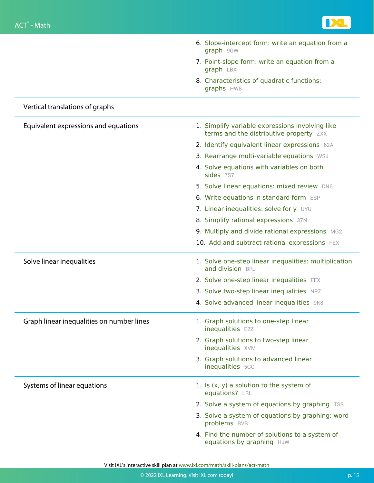

|                                           | 6. Slope-intercept form: write an equation from a<br>graph 9GW                             |
|-------------------------------------------|--------------------------------------------------------------------------------------------|
|                                           | 7. Point-slope form: write an equation from a<br>graph LBX                                 |
|                                           | 8. Characteristics of quadratic functions:<br>graphs HW8                                   |
| Vertical translations of graphs           |                                                                                            |
| Equivalent expressions and equations      | 1. Simplify variable expressions involving like<br>terms and the distributive property ZXX |
|                                           | 2. Identify equivalent linear expressions 62A                                              |
|                                           | 3. Rearrange multi-variable equations WSJ                                                  |
|                                           | 4. Solve equations with variables on both<br>sides 7S7                                     |
|                                           | 5. Solve linear equations: mixed review DN6                                                |
|                                           | 6. Write equations in standard form ESP                                                    |
|                                           | 7. Linear inequalities: solve for y UYU                                                    |
|                                           | 8. Simplify rational expressions 37N                                                       |
|                                           | 9. Multiply and divide rational expressions MG2                                            |
|                                           | 10. Add and subtract rational expressions FEX                                              |
| Solve linear inequalities                 | 1. Solve one-step linear inequalities: multiplication<br>and division BRJ                  |
|                                           | 2. Solve one-step linear inequalities EEX                                                  |
|                                           | 3. Solve two-step linear inequalities NPZ                                                  |
|                                           | 4. Solve advanced linear inequalities 9K8                                                  |
| Graph linear inequalities on number lines | 1. Graph solutions to one-step linear<br>inequalities E2Z                                  |
|                                           | 2. Graph solutions to two-step linear<br>inequalities XVM                                  |
|                                           | 3. Graph solutions to advanced linear<br>inequalities 5GC                                  |
| Systems of linear equations               | 1. Is $(x, y)$ a solution to the system of<br>equations? LRL                               |
|                                           | 2. Solve a system of equations by graphing TSS                                             |
|                                           | 3. Solve a system of equations by graphing: word<br>problems BVB                           |
|                                           | 4. Find the number of solutions to a system of<br>equations by graphing HJW                |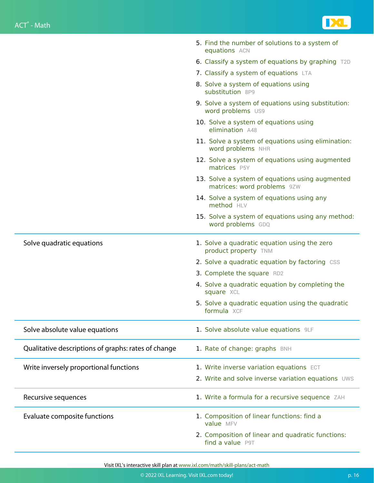

|                                                     | 5. Find the number of solutions to a system of<br>equations ACN                |
|-----------------------------------------------------|--------------------------------------------------------------------------------|
|                                                     | 6. Classify a system of equations by graphing T2D                              |
|                                                     | 7. Classify a system of equations LTA                                          |
|                                                     | 8. Solve a system of equations using<br>substitution 8P9                       |
|                                                     | 9. Solve a system of equations using substitution:<br>word problems US9        |
|                                                     | 10. Solve a system of equations using<br>elimination A48                       |
|                                                     | 11. Solve a system of equations using elimination:<br>word problems NHR        |
|                                                     | 12. Solve a system of equations using augmented<br>matrices P5Y                |
|                                                     | 13. Solve a system of equations using augmented<br>matrices: word problems 9ZW |
|                                                     | 14. Solve a system of equations using any<br>method HLV                        |
|                                                     | 15. Solve a system of equations using any method:<br>word problems GDQ         |
| Solve quadratic equations                           | 1. Solve a quadratic equation using the zero<br>product property TNM           |
|                                                     | 2. Solve a quadratic equation by factoring CSS                                 |
|                                                     | 3. Complete the square RD2                                                     |
|                                                     | 4. Solve a quadratic equation by completing the<br>square XCL                  |
|                                                     | 5. Solve a quadratic equation using the quadratic<br>formula XCF               |
| Solve absolute value equations                      | 1. Solve absolute value equations 9LF                                          |
| Qualitative descriptions of graphs: rates of change | 1. Rate of change: graphs BNH                                                  |
| Write inversely proportional functions              | 1. Write inverse variation equations ECT                                       |
|                                                     | 2. Write and solve inverse variation equations UWS                             |
| Recursive sequences                                 | 1. Write a formula for a recursive sequence ZAH                                |
| Evaluate composite functions                        | 1. Composition of linear functions: find a<br>value MFV                        |
|                                                     | 2. Composition of linear and quadratic functions:<br>find a value P9T          |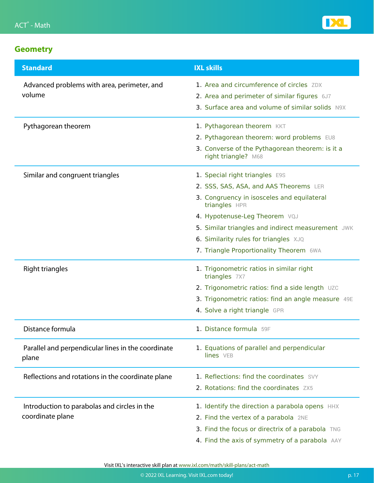

| <b>Standard</b>                                             | <b>IXL skills</b>                                                      |
|-------------------------------------------------------------|------------------------------------------------------------------------|
| Advanced problems with area, perimeter, and                 | 1. Area and circumference of circles ZDX                               |
| volume                                                      | 2. Area and perimeter of similar figures 6J7                           |
|                                                             | 3. Surface area and volume of similar solids N9X                       |
| Pythagorean theorem                                         | 1. Pythagorean theorem KKT                                             |
|                                                             | 2. Pythagorean theorem: word problems EU8                              |
|                                                             | 3. Converse of the Pythagorean theorem: is it a<br>right triangle? M68 |
| Similar and congruent triangles                             | 1. Special right triangles E9S                                         |
|                                                             | 2. SSS, SAS, ASA, and AAS Theorems LER                                 |
|                                                             | 3. Congruency in isosceles and equilateral<br>triangles HPR            |
|                                                             | 4. Hypotenuse-Leg Theorem VQJ                                          |
|                                                             | 5. Similar triangles and indirect measurement JWK                      |
|                                                             | 6. Similarity rules for triangles XJQ                                  |
|                                                             | 7. Triangle Proportionality Theorem 6WA                                |
| Right triangles                                             | 1. Trigonometric ratios in similar right<br>triangles 7X7              |
|                                                             | 2. Trigonometric ratios: find a side length UZC                        |
|                                                             | 3. Trigonometric ratios: find an angle measure 49E                     |
|                                                             | 4. Solve a right triangle GPR                                          |
| Distance formula                                            | 1. Distance formula 59F                                                |
| Parallel and perpendicular lines in the coordinate<br>plane | 1. Equations of parallel and perpendicular<br>lines VEB                |
| Reflections and rotations in the coordinate plane           | 1. Reflections: find the coordinates SVY                               |
|                                                             | 2. Rotations: find the coordinates ZX5                                 |
| Introduction to parabolas and circles in the                | 1. Identify the direction a parabola opens HHX                         |
| coordinate plane                                            | 2. Find the vertex of a parabola 2NE                                   |
|                                                             | 3. Find the focus or directrix of a parabola TNG                       |
|                                                             | 4. Find the axis of symmetry of a parabola AAY                         |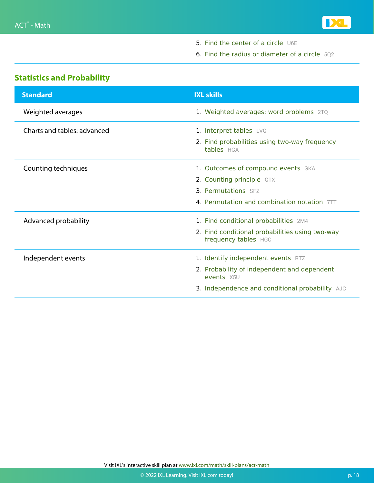

- 5. [Find the center of a circle](https://www.ixl.com/math/algebra-2/find-the-center-of-a-circle) [U6E](https://www.ixl.com/math/algebra-2/find-the-center-of-a-circle)
- 6. [Find the radius or diameter of a circle](https://www.ixl.com/math/algebra-2/find-the-radius-or-diameter-of-a-circle) [5Q2](https://www.ixl.com/math/algebra-2/find-the-radius-or-diameter-of-a-circle)

#### **Statistics and Probability**

| <b>Standard</b>             | <b>IXL skills</b>                                                       |
|-----------------------------|-------------------------------------------------------------------------|
| Weighted averages           | 1. Weighted averages: word problems 2TQ                                 |
| Charts and tables: advanced | 1. Interpret tables LVG                                                 |
|                             | 2. Find probabilities using two-way frequency<br>tables HGA             |
| Counting techniques         | 1. Outcomes of compound events GKA                                      |
|                             | 2. Counting principle GTX                                               |
|                             | <b>3. Permutations</b> SFZ                                              |
|                             | 4. Permutation and combination notation 7TT                             |
| Advanced probability        | 1. Find conditional probabilities 2M4                                   |
|                             | 2. Find conditional probabilities using two-way<br>frequency tables HGC |
| Independent events          | 1. Identify independent events RTZ                                      |
|                             | 2. Probability of independent and dependent<br>events X5U               |
|                             | 3. Independence and conditional probability AJC                         |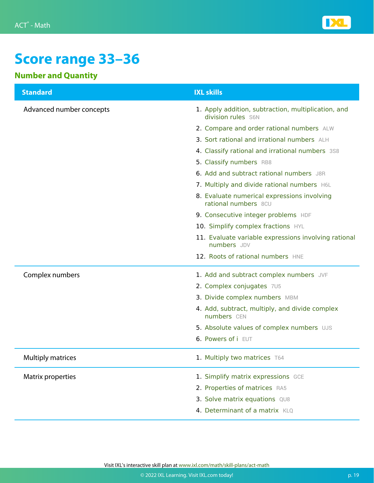

# **Score range 33–36**

#### **Number and Quantity**

| <b>Standard</b>          | <b>IXL skills</b>                                                         |
|--------------------------|---------------------------------------------------------------------------|
| Advanced number concepts | 1. Apply addition, subtraction, multiplication, and<br>division rules S6N |
|                          | 2. Compare and order rational numbers ALW                                 |
|                          | 3. Sort rational and irrational numbers ALH                               |
|                          | 4. Classify rational and irrational numbers 3S8                           |
|                          | 5. Classify numbers RB8                                                   |
|                          | 6. Add and subtract rational numbers J8R                                  |
|                          | 7. Multiply and divide rational numbers H6L                               |
|                          | 8. Evaluate numerical expressions involving<br>rational numbers 8CU       |
|                          | 9. Consecutive integer problems HDF                                       |
|                          | 10. Simplify complex fractions HYL                                        |
|                          | 11. Evaluate variable expressions involving rational<br>numbers JDV       |
|                          | 12. Roots of rational numbers HNE                                         |
| Complex numbers          | 1. Add and subtract complex numbers JVF                                   |
|                          | 2. Complex conjugates 7U5                                                 |
|                          | 3. Divide complex numbers MBM                                             |
|                          | 4. Add, subtract, multiply, and divide complex<br>numbers CEN             |
|                          | 5. Absolute values of complex numbers UJS                                 |
|                          | 6. Powers of i EUT                                                        |
| <b>Multiply matrices</b> | 1. Multiply two matrices T64                                              |
| Matrix properties        | 1. Simplify matrix expressions GCE                                        |
|                          | 2. Properties of matrices RA5                                             |
|                          | 3. Solve matrix equations QU8                                             |
|                          | 4. Determinant of a matrix KLQ                                            |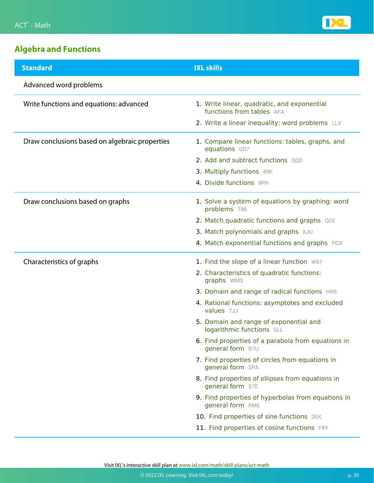

### **Algebra and Functions**

| <b>Standard</b>                                | <b>IXL skills</b>                                                        |
|------------------------------------------------|--------------------------------------------------------------------------|
| Advanced word problems                         |                                                                          |
| Write functions and equations: advanced        | 1. Write linear, quadratic, and exponential<br>functions from tables AFA |
|                                                | 2. Write a linear inequality: word problems LLV                          |
| Draw conclusions based on algebraic properties | 1. Compare linear functions: tables, graphs, and<br>equations GD7        |
|                                                | 2. Add and subtract functions QQD                                        |
|                                                | 3. Multiply functions 49K                                                |
|                                                | 4. Divide functions 9PH                                                  |
| Draw conclusions based on graphs               | 1. Solve a system of equations by graphing: word<br>problems T86         |
|                                                | 2. Match quadratic functions and graphs QCE                              |
|                                                | 3. Match polynomials and graphs XJU                                      |
|                                                | 4. Match exponential functions and graphs PCX                            |
| Characteristics of graphs                      | 1. Find the slope of a linear function W67                               |
|                                                | 2. Characteristics of quadratic functions:<br>graphs WMS                 |
|                                                | 3. Domain and range of radical functions HR9                             |
|                                                | 4. Rational functions: asymptotes and excluded<br>values 7JJ             |
|                                                | 5. Domain and range of exponential and<br>logarithmic functions GLL      |
|                                                | 6. Find properties of a parabola from equations in<br>general form B7U   |
|                                                | 7. Find properties of circles from equations in<br>general form 2PA      |
|                                                | 8. Find properties of ellipses from equations in<br>general form S7E     |
|                                                | 9. Find properties of hyperbolas from equations in<br>general form RME   |
|                                                | 10. Find properties of sine functions 2EK                                |
|                                                | 11. Find properties of cosine functions F8Y                              |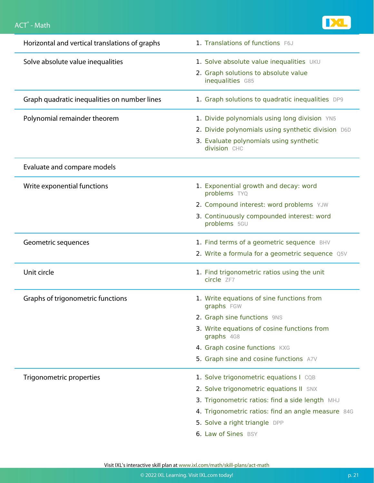

| Horizontal and vertical translations of graphs | 1. Translations of functions F6J                          |
|------------------------------------------------|-----------------------------------------------------------|
| Solve absolute value inequalities              | 1. Solve absolute value inequalities UKU                  |
|                                                | 2. Graph solutions to absolute value<br>inequalities G85  |
| Graph quadratic inequalities on number lines   | 1. Graph solutions to quadratic inequalities DP9          |
| Polynomial remainder theorem                   | 1. Divide polynomials using long division YN5             |
|                                                | 2. Divide polynomials using synthetic division D6D        |
|                                                | 3. Evaluate polynomials using synthetic<br>division CHC   |
| Evaluate and compare models                    |                                                           |
| Write exponential functions                    | 1. Exponential growth and decay: word<br>problems TYQ     |
|                                                | 2. Compound interest: word problems YJW                   |
|                                                | 3. Continuously compounded interest: word<br>problems 5GU |
| Geometric sequences                            | 1. Find terms of a geometric sequence BHV                 |
|                                                | 2. Write a formula for a geometric sequence Q5V           |
| Unit circle                                    | 1. Find trigonometric ratios using the unit<br>circle ZF7 |
| Graphs of trigonometric functions              | 1. Write equations of sine functions from<br>graphs FGW   |
|                                                | 2. Graph sine functions 9NS                               |
|                                                | 3. Write equations of cosine functions from<br>graphs 4G8 |
|                                                | 4. Graph cosine functions KXG                             |
|                                                | 5. Graph sine and cosine functions A7V                    |
| Trigonometric properties                       | 1. Solve trigonometric equations I CQB                    |
|                                                | 2. Solve trigonometric equations II SNX                   |
|                                                | 3. Trigonometric ratios: find a side length MHJ           |
|                                                | 4. Trigonometric ratios: find an angle measure 84G        |
|                                                | 5. Solve a right triangle DPP                             |
|                                                | 6. Law of Sines BSY                                       |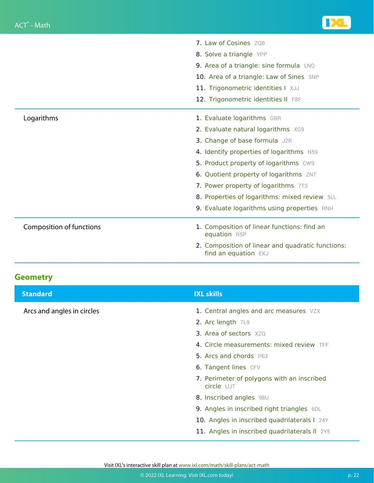|                                 | <b>7. Law of Cosines</b> ZOB                                              |
|---------------------------------|---------------------------------------------------------------------------|
|                                 | 8. Solve a triangle YPP                                                   |
|                                 | 9. Area of a triangle: sine formula LNQ                                   |
|                                 | 10. Area of a triangle: Law of Sines 5NP                                  |
|                                 | 11. Trigonometric identities I XJJ                                        |
|                                 | 12. Trigonometric identities II F8F                                       |
| Logarithms                      | 1. Evaluate logarithms GBR                                                |
|                                 | 2. Evaluate natural logarithms XG9                                        |
|                                 | 3. Change of base formula J2R                                             |
|                                 | 4. Identify properties of logarithms N59                                  |
|                                 | 5. Product property of logarithms CW9                                     |
|                                 | 6. Quotient property of logarithms ZNT                                    |
|                                 | 7. Power property of logarithms 7T3                                       |
|                                 | 8. Properties of logarithms: mixed review 5LL                             |
|                                 | 9. Evaluate logarithms using properties RNH                               |
| <b>Composition of functions</b> | 1. Composition of linear functions: find an<br>equation RSP               |
|                                 | 2. Composition of linear and quadratic functions:<br>find an equation EKJ |

| <b>Standard</b>            | <b>IXL skills</b>                                        |
|----------------------------|----------------------------------------------------------|
| Arcs and angles in circles | 1. Central angles and arc measures VZX                   |
|                            | 2. Arc length 7L9                                        |
|                            | <b>3. Area of sectors XZQ</b>                            |
|                            | 4. Circle measurements: mixed review TFF                 |
|                            | 5. Arcs and chords P63                                   |
|                            | 6. Tangent lines CFV                                     |
|                            | 7. Perimeter of polygons with an inscribed<br>circle UJT |
|                            | 8. Inscribed angles 98U                                  |
|                            | 9. Angles in inscribed right triangles 6DL               |
|                            | 10. Angles in inscribed quadrilaterals I 24Y             |
|                            | 11. Angles in inscribed quadrilaterals II 2Y5            |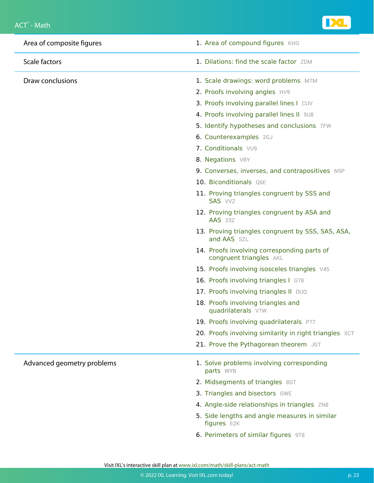

| Area of composite figures  | 1. Area of compound figures KHG                                        |
|----------------------------|------------------------------------------------------------------------|
| <b>Scale factors</b>       | 1. Dilations: find the scale factor ZDM                                |
| Draw conclusions           | 1. Scale drawings: word problems M7M                                   |
|                            | 2. Proofs involving angles HV9                                         |
|                            | 3. Proofs involving parallel lines I CUV                               |
|                            | 4. Proofs involving parallel lines II 5U8                              |
|                            | 5. Identify hypotheses and conclusions 7FW                             |
|                            | 6. Counterexamples 2GJ                                                 |
|                            | 7. Conditionals VU9                                                    |
|                            | 8. Negations VBY                                                       |
|                            | 9. Converses, inverses, and contrapositives N5P                        |
|                            | 10. Biconditionals Q6E                                                 |
|                            | 11. Proving triangles congruent by SSS and<br>SAS VVZ                  |
|                            | 12. Proving triangles congruent by ASA and<br><b>AAS</b> 23Z           |
|                            | 13. Proving triangles congruent by SSS, SAS, ASA,<br>and AAS SZL       |
|                            | 14. Proofs involving corresponding parts of<br>congruent triangles AKL |
|                            | 15. Proofs involving isosceles triangles V45                           |
|                            | 16. Proofs involving triangles I G78                                   |
|                            | 17. Proofs involving triangles II DUQ                                  |
|                            | 18. Proofs involving triangles and<br>quadrilaterals V7W               |
|                            | 19. Proofs involving quadrilaterals P77                                |
|                            | 20. Proofs involving similarity in right triangles XCT                 |
|                            | 21. Prove the Pythagorean theorem JGT                                  |
| Advanced geometry problems | 1. Solve problems involving corresponding<br>parts WYB                 |
|                            | 2. Midsegments of triangles 8GT                                        |
|                            | 3. Triangles and bisectors GWE                                         |
|                            | 4. Angle-side relationships in triangles ZN8                           |
|                            | 5. Side lengths and angle measures in similar<br>figures E2K           |
|                            |                                                                        |